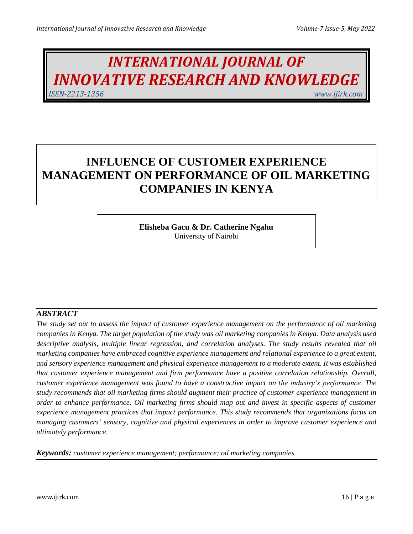# *INTERNATIONAL JOURNAL OF INNOVATIVE RESEARCH AND KNOWLEDGE ISSN-2213-1356 www.ijirk.com*

# **INFLUENCE OF CUSTOMER EXPERIENCE MANAGEMENT ON PERFORMANCE OF OIL MARKETING COMPANIES IN KENYA**

**Elisheba Gacu & Dr. Catherine Ngahu** University of Nairobi

# *ABSTRACT*

*The study set out to assess the impact of customer experience management on the performance of oil marketing companies in Kenya. The target population of the study was oil marketing companies in Kenya. Data analysis used descriptive analysis, multiple linear regression, and correlation analyses. The study results revealed that oil marketing companies have embraced cognitive experience management and relational experience to a great extent, and sensory experience management and physical experience management to a moderate extent. It was established that customer experience management and firm performance have a positive correlation relationship. Overall, customer experience management was found to have a constructive impact on the industry's performance. The study recommends that oil marketing firms should augment their practice of customer experience management in order to enhance performance. Oil marketing firms should map out and invest in specific aspects of customer experience management practices that impact performance. This study recommends that organizations focus on managing customers' sensory, cognitive and physical experiences in order to improve customer experience and ultimately performance.*

*Keywords: customer experience management; performance; oil marketing companies.*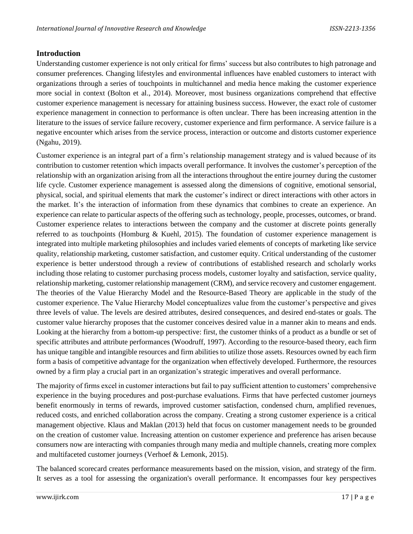## **Introduction**

Understanding customer experience is not only critical for firms' success but also contributes to high patronage and consumer preferences. Changing lifestyles and environmental influences have enabled customers to interact with organizations through a series of touchpoints in multichannel and media hence making the customer experience more social in context (Bolton et al., 2014). Moreover, most business organizations comprehend that effective customer experience management is necessary for attaining business success. However, the exact role of customer experience management in connection to performance is often unclear. There has been increasing attention in the literature to the issues of service failure recovery, customer experience and firm performance. A service failure is a negative encounter which arises from the service process, interaction or outcome and distorts customer experience (Ngahu, 2019).

Customer experience is an integral part of a firm's relationship management strategy and is valued because of its contribution to customer retention which impacts overall performance. It involves the customer's perception of the relationship with an organization arising from all the interactions throughout the entire journey during the customer life cycle. Customer experience management is assessed along the dimensions of cognitive, emotional sensorial, physical, social, and spiritual elements that mark the customer's indirect or direct interactions with other actors in the market. It's the interaction of information from these dynamics that combines to create an experience. An experience can relate to particular aspects of the offering such as technology, people, processes, outcomes, or brand. Customer experience relates to interactions between the company and the customer at discrete points generally referred to as touchpoints (Homburg & Kuehl, 2015). The foundation of customer experience management is integrated into multiple marketing philosophies and includes varied elements of concepts of marketing like service quality, relationship marketing, customer satisfaction, and customer equity. Critical understanding of the customer experience is better understood through a review of contributions of established research and scholarly works including those relating to customer purchasing process models, customer loyalty and satisfaction, service quality, relationship marketing, customer relationship management (CRM), and service recovery and customer engagement. The theories of the Value Hierarchy Model and the Resource-Based Theory are applicable in the study of the customer experience. The Value Hierarchy Model conceptualizes value from the customer's perspective and gives three levels of value. The levels are desired attributes, desired consequences, and desired end-states or goals. The customer value hierarchy proposes that the customer conceives desired value in a manner akin to means and ends. Looking at the hierarchy from a bottom-up perspective: first, the customer thinks of a product as a bundle or set of specific attributes and attribute performances (Woodruff, 1997). According to the resource-based theory, each firm has unique tangible and intangible resources and firm abilities to utilize those assets. Resources owned by each firm form a basis of competitive advantage for the organization when effectively developed. Furthermore, the resources owned by a firm play a crucial part in an organization's strategic imperatives and overall performance.

The majority of firms excel in customer interactions but fail to pay sufficient attention to customers' comprehensive experience in the buying procedures and post-purchase evaluations. Firms that have perfected customer journeys benefit enormously in terms of rewards, improved customer satisfaction, condensed churn, amplified revenues, reduced costs, and enriched collaboration across the company. Creating a strong customer experience is a critical management objective. Klaus and Maklan (2013) held that focus on customer management needs to be grounded on the creation of customer value. Increasing attention on customer experience and preference has arisen because consumers now are interacting with companies through many media and multiple channels, creating more complex and multifaceted customer journeys (Verhoef & Lemonk, 2015).

The balanced scorecard creates performance measurements based on the mission, vision, and strategy of the firm. It serves as a tool for assessing the organization's overall performance. It encompasses four key perspectives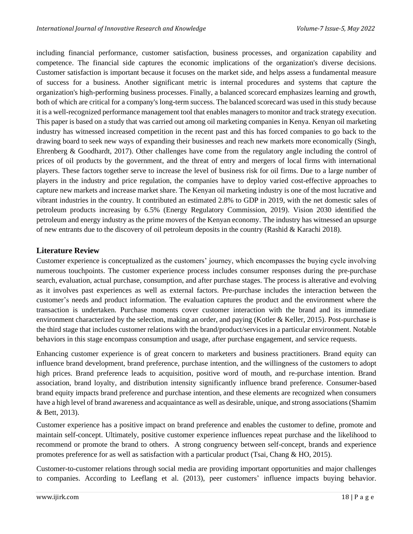including financial performance, customer satisfaction, business processes, and organization capability and competence. The financial side captures the economic implications of the organization's diverse decisions. Customer satisfaction is important because it focuses on the market side, and helps assess a fundamental measure of success for a business. Another significant metric is internal procedures and systems that capture the organization's high-performing business processes. Finally, a balanced scorecard emphasizes learning and growth, both of which are critical for a company's long-term success. The balanced scorecard was used in this study because it is a well-recognized performance management tool that enables managers to monitor and track strategy execution. This paper is based on a study that was carried out among oil marketing companies in Kenya. Kenyan oil marketing industry has witnessed increased competition in the recent past and this has forced companies to go back to the drawing board to seek new ways of expanding their businesses and reach new markets more economically (Singh, Ehrenberg & Goodhardt, 2017). Other challenges have come from the regulatory angle including the control of prices of oil products by the government, and the threat of entry and mergers of local firms with international players. These factors together serve to increase the level of business risk for oil firms. Due to a large number of players in the industry and price regulation, the companies have to deploy varied cost-effective approaches to capture new markets and increase market share. The Kenyan oil marketing industry is one of the most lucrative and vibrant industries in the country. It contributed an estimated 2.8% to GDP in 2019, with the net domestic sales of petroleum products increasing by 6.5% (Energy Regulatory Commission, 2019). Vision 2030 identified the petroleum and energy industry as the prime movers of the Kenyan economy. The industry has witnessed an upsurge of new entrants due to the discovery of oil petroleum deposits in the country (Rashid & Karachi 2018).

#### **Literature Review**

Customer experience is conceptualized as the customers' journey, which encompasses the buying cycle involving numerous touchpoints. The customer experience process includes consumer responses during the pre-purchase search, evaluation, actual purchase, consumption, and after purchase stages. The process is alterative and evolving as it involves past experiences as well as external factors. Pre-purchase includes the interaction between the customer's needs and product information. The evaluation captures the product and the environment where the transaction is undertaken. Purchase moments cover customer interaction with the brand and its immediate environment characterized by the selection, making an order, and paying (Kotler & Keller, 2015). Post-purchase is the third stage that includes customer relations with the brand/product/services in a particular environment. Notable behaviors in this stage encompass consumption and usage, after purchase engagement, and service requests.

Enhancing customer experience is of great concern to marketers and business practitioners. Brand equity can influence brand development, brand preference, purchase intention, and the willingness of the customers to adopt high prices. Brand preference leads to acquisition, positive word of mouth, and re-purchase intention. Brand association, brand loyalty, and distribution intensity significantly influence brand preference. Consumer-based brand equity impacts brand preference and purchase intention, and these elements are recognized when consumers have a high level of brand awareness and acquaintance as well as desirable, unique, and strong associations (Shamim & Bett, 2013).

Customer experience has a positive impact on brand preference and enables the customer to define, promote and maintain self-concept. Ultimately, positive customer experience influences repeat purchase and the likelihood to recommend or promote the brand to others. A strong congruency between self-concept, brands and experience promotes preference for as well as satisfaction with a particular product (Tsai, Chang & HO, 2015).

Customer-to-customer relations through social media are providing important opportunities and major challenges to companies. According to Leeflang et al. (2013), peer customers' influence impacts buying behavior.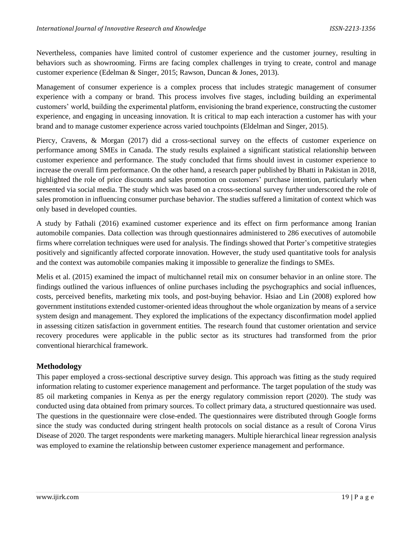Nevertheless, companies have limited control of customer experience and the customer journey, resulting in behaviors such as showrooming. Firms are facing complex challenges in trying to create, control and manage customer experience (Edelman & Singer, 2015; Rawson, Duncan & Jones, 2013).

Management of consumer experience is a complex process that includes strategic management of consumer experience with a company or brand. This process involves five stages, including building an experimental customers' world, building the experimental platform, envisioning the brand experience, constructing the customer experience, and engaging in unceasing innovation. It is critical to map each interaction a customer has with your brand and to manage customer experience across varied touchpoints (Eldelman and Singer, 2015).

Piercy, Cravens, & Morgan (2017) did a cross-sectional survey on the effects of customer experience on performance among SMEs in Canada. The study results explained a significant statistical relationship between customer experience and performance. The study concluded that firms should invest in customer experience to increase the overall firm performance. On the other hand, a research paper published by Bhatti in Pakistan in 2018, highlighted the role of price discounts and sales promotion on customers' purchase intention, particularly when presented via social media. The study which was based on a cross-sectional survey further underscored the role of sales promotion in influencing consumer purchase behavior. The studies suffered a limitation of context which was only based in developed counties.

A study by Fathali (2016) examined customer experience and its effect on firm performance among Iranian automobile companies. Data collection was through questionnaires administered to 286 executives of automobile firms where correlation techniques were used for analysis. The findings showed that Porter's competitive strategies positively and significantly affected corporate innovation. However, the study used quantitative tools for analysis and the context was automobile companies making it impossible to generalize the findings to SMEs.

Melis et al. (2015) examined the impact of multichannel retail mix on consumer behavior in an online store. The findings outlined the various influences of online purchases including the psychographics and social influences, costs, perceived benefits, marketing mix tools, and post-buying behavior. Hsiao and Lin (2008) explored how government institutions extended customer-oriented ideas throughout the whole organization by means of a service system design and management. They explored the implications of the expectancy disconfirmation model applied in assessing citizen satisfaction in government entities. The research found that customer orientation and service recovery procedures were applicable in the public sector as its structures had transformed from the prior conventional hierarchical framework.

#### **Methodology**

This paper employed a cross-sectional descriptive survey design. This approach was fitting as the study required information relating to customer experience management and performance. The target population of the study was 85 oil marketing companies in Kenya as per the energy regulatory commission report (2020). The study was conducted using data obtained from primary sources. To collect primary data, a structured questionnaire was used. The questions in the questionnaire were close-ended. The questionnaires were distributed through Google forms since the study was conducted during stringent health protocols on social distance as a result of Corona Virus Disease of 2020. The target respondents were marketing managers. Multiple hierarchical linear regression analysis was employed to examine the relationship between customer experience management and performance.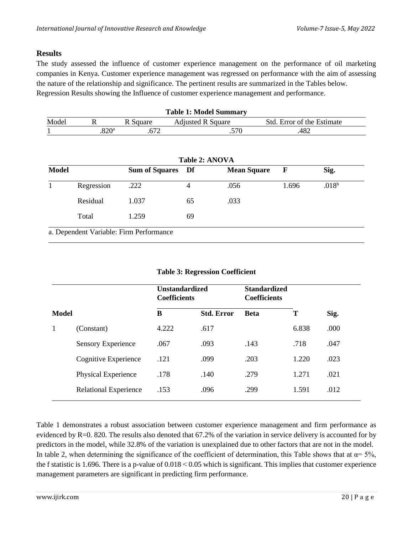## **Results**

The study assessed the influence of customer experience management on the performance of oil marketing companies in Kenya. Customer experience management was regressed on performance with the aim of assessing the nature of the relationship and significance. The pertinent results are summarized in the Tables below. Regression Results showing the Influence of customer experience management and performance.

| <b>Table 1: Model Summary</b> |                                    |          |                          |                            |  |  |  |
|-------------------------------|------------------------------------|----------|--------------------------|----------------------------|--|--|--|
| Model                         |                                    | R Square | <b>Adjusted R Square</b> | Std. Error of the Estimate |  |  |  |
|                               | $\mathsf{Q}\mathsf{D}\mathsf{Q}$ a |          | 570                      | 482                        |  |  |  |

| <b>Model</b> |            | <b>Sum of Squares</b> | Df | <b>Mean Square</b> | F     | Sig.              |
|--------------|------------|-----------------------|----|--------------------|-------|-------------------|
|              | Regression | .222                  | 4  | .056               | 1.696 | .018 <sup>b</sup> |
|              | Residual   | 1.037                 | 65 | .033               |       |                   |
|              | Total      | 1.259                 | 69 |                    |       |                   |

| <b>Table 3: Regression Coefficient</b> |  |
|----------------------------------------|--|
|----------------------------------------|--|

|       |                              | Unstandardized<br><b>Coefficients</b> |                   | <b>Standardized</b><br><b>Coefficients</b> |       |      |
|-------|------------------------------|---------------------------------------|-------------------|--------------------------------------------|-------|------|
| Model |                              | B                                     | <b>Std. Error</b> | <b>Beta</b>                                | T     | Sig. |
|       | (Constant)                   | 4.222                                 | .617              |                                            | 6.838 | .000 |
|       | <b>Sensory Experience</b>    | .067                                  | .093              | .143                                       | .718  | .047 |
|       | Cognitive Experience         | .121                                  | .099              | .203                                       | 1.220 | .023 |
|       | Physical Experience          | .178                                  | .140              | .279                                       | 1.271 | .021 |
|       | <b>Relational Experience</b> | .153                                  | .096              | .299                                       | 1.591 | .012 |

Table 1 demonstrates a robust association between customer experience management and firm performance as evidenced by R=0. 820. The results also denoted that 67.2% of the variation in service delivery is accounted for by predictors in the model, while 32.8% of the variation is unexplained due to other factors that are not in the model. In table 2, when determining the significance of the coefficient of determination, this Table shows that at  $\alpha = 5\%$ , the f statistic is 1.696. There is a p-value of  $0.018 \le 0.05$  which is significant. This implies that customer experience management parameters are significant in predicting firm performance.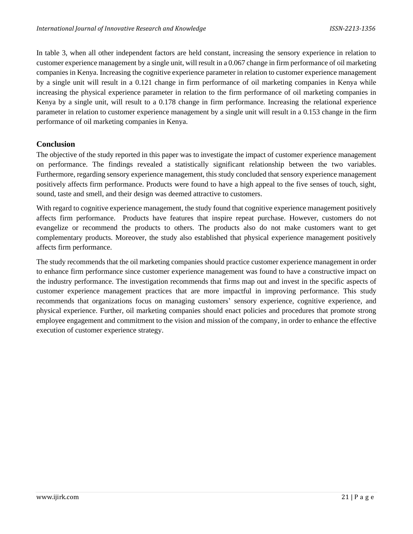In table 3, when all other independent factors are held constant, increasing the sensory experience in relation to customer experience management by a single unit, will result in a 0.067 change in firm performance of oil marketing companies in Kenya. Increasing the cognitive experience parameter in relation to customer experience management by a single unit will result in a 0.121 change in firm performance of oil marketing companies in Kenya while increasing the physical experience parameter in relation to the firm performance of oil marketing companies in Kenya by a single unit, will result to a 0.178 change in firm performance. Increasing the relational experience parameter in relation to customer experience management by a single unit will result in a 0.153 change in the firm performance of oil marketing companies in Kenya.

#### **Conclusion**

The objective of the study reported in this paper was to investigate the impact of customer experience management on performance. The findings revealed a statistically significant relationship between the two variables. Furthermore, regarding sensory experience management, this study concluded that sensory experience management positively affects firm performance. Products were found to have a high appeal to the five senses of touch, sight, sound, taste and smell, and their design was deemed attractive to customers.

With regard to cognitive experience management, the study found that cognitive experience management positively affects firm performance. Products have features that inspire repeat purchase. However, customers do not evangelize or recommend the products to others. The products also do not make customers want to get complementary products. Moreover, the study also established that physical experience management positively affects firm performance.

The study recommends that the oil marketing companies should practice customer experience management in order to enhance firm performance since customer experience management was found to have a constructive impact on the industry performance. The investigation recommends that firms map out and invest in the specific aspects of customer experience management practices that are more impactful in improving performance. This study recommends that organizations focus on managing customers' sensory experience, cognitive experience, and physical experience. Further, oil marketing companies should enact policies and procedures that promote strong employee engagement and commitment to the vision and mission of the company, in order to enhance the effective execution of customer experience strategy.